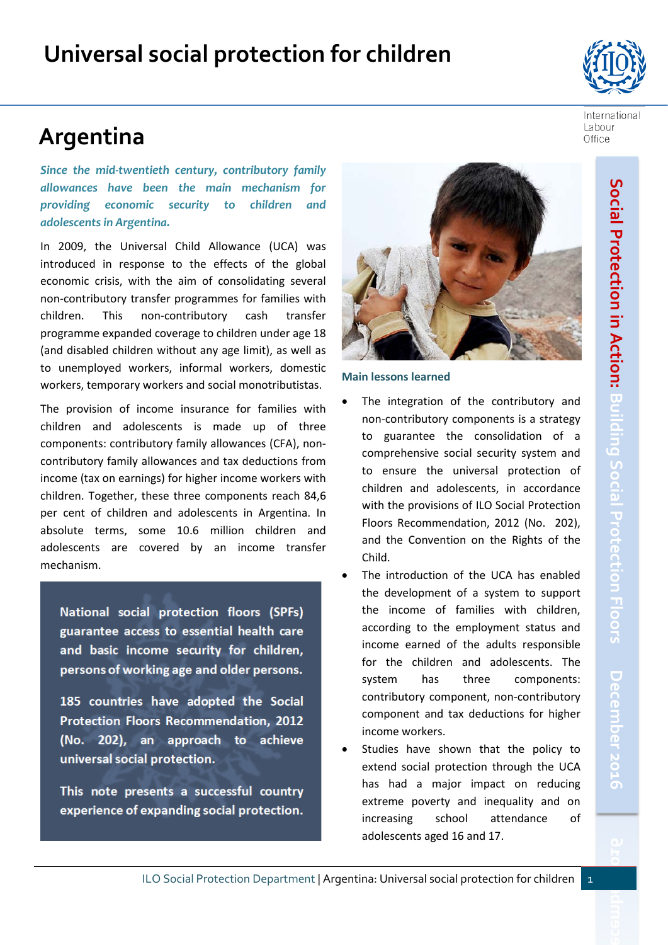# **Argentina**

*Since the mid-twentieth century, contributory family allowances have been the main mechanism for providing economic security to children and adolescents in Argentina.* 

In 2009, the Universal Child Allowance (UCA) was introduced in response to the effects of the global economic crisis, with the aim of consolidating several non-contributory transfer programmes for families with children. This non-contributory cash transfer programme expanded coverage to children under age 18 (and disabled children without any age limit), as well as to unemployed workers, informal workers, domestic workers, temporary workers and social monotributistas.

The provision of income insurance for families with children and adolescents is made up of three components: contributory family allowances (CFA), noncontributory family allowances and tax deductions from income (tax on earnings) for higher income workers with children. Together, these three components reach 84,6 per cent of children and adolescents in Argentina. In absolute terms, some 10.6 million children and adolescents are covered by an income transfer mechanism.

National social protection floors (SPFs) guarantee access to essential health care and basic income security for children, persons of working age and older persons.

185 countries have adopted the Social Protection Floors Recommendation, 2012 (No. 202), an approach to achieve universal social protection.

This note presents a successful country experience of expanding social protection.



#### **Main lessons learned**

- The integration of the contributory and non-contributory components is a strategy to guarantee the consolidation of a comprehensive social security system and to ensure the universal protection of children and adolescents, in accordance with the provisions of ILO Social Protection Floors Recommendation, 2012 (No. 202), and the Convention on the Rights of the Child.
- The introduction of the UCA has enabled the development of a system to support the income of families with children, according to the employment status and income earned of the adults responsible for the children and adolescents. The system has three components: contributory component, non-contributory component and tax deductions for higher income workers.
- Studies have shown that the policy to extend social protection through the UCA has had a major impact on reducing extreme poverty and inequality and on increasing school attendance of adolescents aged 16 and 17.



**2016**

International Labour Office

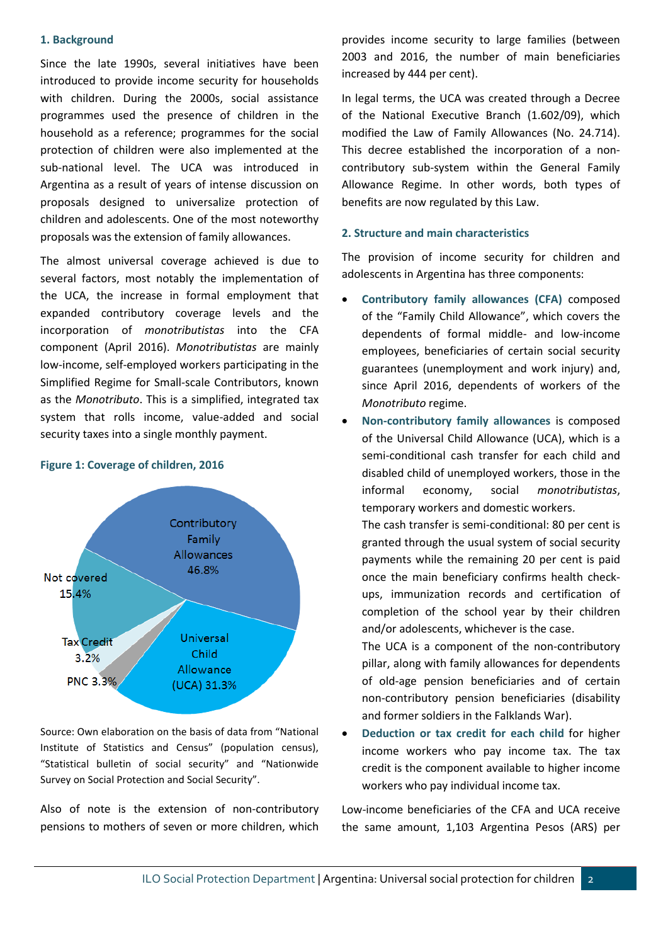#### **1. Background**

Since the late 1990s, several initiatives have been introduced to provide income security for households with children. During the 2000s, social assistance programmes used the presence of children in the household as a reference; programmes for the social protection of children were also implemented at the sub-national level. The UCA was introduced in Argentina as a result of years of intense discussion on proposals designed to universalize protection of children and adolescents. One of the most noteworthy proposals was the extension of family allowances.

The almost universal coverage achieved is due to several factors, most notably the implementation of the UCA, the increase in formal employment that expanded contributory coverage levels and the incorporation of *monotributistas* into the CFA component (April 2016). *Monotributistas* are mainly low-income, self-employed workers participating in the Simplified Regime for Small-scale Contributors, known as the *Monotributo*. This is a simplified, integrated tax system that rolls income, value-added and social security taxes into a single monthly payment.

## Contributory Family Allowances 46.8% Not covered 15.4% Universal **Tax Credit** Child  $3.2%$ Allowance **PNC 3.3%** (UCA) 31.3%

#### **Figure 1: Coverage of children, 2016**

Source: Own elaboration on the basis of data from "National Institute of Statistics and Census" (population census), "Statistical bulletin of social security" and "Nationwide Survey on Social Protection and Social Security".

Also of note is the extension of non-contributory pensions to mothers of seven or more children, which

provides income security to large families (between 2003 and 2016, the number of main beneficiaries increased by 444 per cent).

In legal terms, the UCA was created through a Decree of the National Executive Branch (1.602/09), which modified the Law of Family Allowances (No. 24.714). This decree established the incorporation of a noncontributory sub-system within the General Family Allowance Regime. In other words, both types of benefits are now regulated by this Law.

#### **2. Structure and main characteristics**

The provision of income security for children and adolescents in Argentina has three components:

- **Contributory family allowances (CFA)** composed of the "Family Child Allowance", which covers the dependents of formal middle- and low-income employees, beneficiaries of certain social security guarantees (unemployment and work injury) and, since April 2016, dependents of workers of the *Monotributo* regime.
- **Non-contributory family allowances** is composed of the Universal Child Allowance (UCA), which is a semi-conditional cash transfer for each child and disabled child of unemployed workers, those in the informal economy, social *monotributistas*, temporary workers and domestic workers.

The cash transfer is semi-conditional: 80 per cent is granted through the usual system of social security payments while the remaining 20 per cent is paid once the main beneficiary confirms health checkups, immunization records and certification of completion of the school year by their children and/or adolescents, whichever is the case.

The UCA is a component of the non-contributory pillar, along with family allowances for dependents of old-age pension beneficiaries and of certain non-contributory pension beneficiaries (disability and former soldiers in the Falklands War).

• **Deduction or tax credit for each child** for higher income workers who pay income tax. The tax credit is the component available to higher income workers who pay individual income tax.

Low-income beneficiaries of the CFA and UCA receive the same amount, 1,103 Argentina Pesos (ARS) per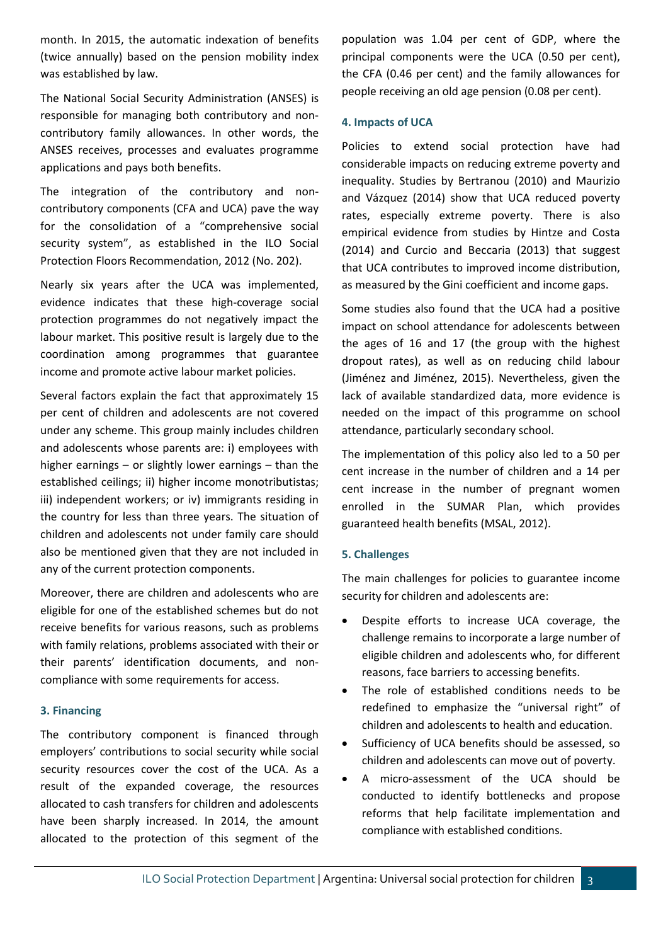month. In 2015, the automatic indexation of benefits (twice annually) based on the pension mobility index was established by law.

The National Social Security Administration (ANSES) is responsible for managing both contributory and noncontributory family allowances. In other words, the ANSES receives, processes and evaluates programme applications and pays both benefits.

The integration of the contributory and noncontributory components (CFA and UCA) pave the way for the consolidation of a "comprehensive social security system", as established in the ILO Social Protection Floors Recommendation, 2012 (No. 202).

Nearly six years after the UCA was implemented, evidence indicates that these high-coverage social protection programmes do not negatively impact the labour market. This positive result is largely due to the coordination among programmes that guarantee income and promote active labour market policies.

Several factors explain the fact that approximately 15 per cent of children and adolescents are not covered under any scheme. This group mainly includes children and adolescents whose parents are: i) employees with higher earnings – or slightly lower earnings – than the established ceilings; ii) higher income monotributistas; iii) independent workers; or iv) immigrants residing in the country for less than three years. The situation of children and adolescents not under family care should also be mentioned given that they are not included in any of the current protection components.

Moreover, there are children and adolescents who are eligible for one of the established schemes but do not receive benefits for various reasons, such as problems with family relations, problems associated with their or their parents' identification documents, and noncompliance with some requirements for access.

## **3. Financing**

The contributory component is financed through employers' contributions to social security while social security resources cover the cost of the UCA. As a result of the expanded coverage, the resources allocated to cash transfers for children and adolescents have been sharply increased. In 2014, the amount allocated to the protection of this segment of the population was 1.04 per cent of GDP, where the principal components were the UCA (0.50 per cent), the CFA (0.46 per cent) and the family allowances for people receiving an old age pension (0.08 per cent).

### **4. Impacts of UCA**

Policies to extend social protection have had considerable impacts on reducing extreme poverty and inequality. Studies by Bertranou (2010) and Maurizio and Vázquez (2014) show that UCA reduced poverty rates, especially extreme poverty. There is also empirical evidence from studies by Hintze and Costa (2014) and Curcio and Beccaria (2013) that suggest that UCA contributes to improved income distribution, as measured by the Gini coefficient and income gaps.

Some studies also found that the UCA had a positive impact on school attendance for adolescents between the ages of 16 and 17 (the group with the highest dropout rates), as well as on reducing child labour (Jiménez and Jiménez, 2015). Nevertheless, given the lack of available standardized data, more evidence is needed on the impact of this programme on school attendance, particularly secondary school.

The implementation of this policy also led to a 50 per cent increase in the number of children and a 14 per cent increase in the number of pregnant women enrolled in the SUMAR Plan, which provides guaranteed health benefits (MSAL, 2012).

### **5. Challenges**

The main challenges for policies to guarantee income security for children and adolescents are:

- Despite efforts to increase UCA coverage, the challenge remains to incorporate a large number of eligible children and adolescents who, for different reasons, face barriers to accessing benefits.
- The role of established conditions needs to be redefined to emphasize the "universal right" of children and adolescents to health and education.
- Sufficiency of UCA benefits should be assessed, so children and adolescents can move out of poverty.
- A micro-assessment of the UCA should be conducted to identify bottlenecks and propose reforms that help facilitate implementation and compliance with established conditions.